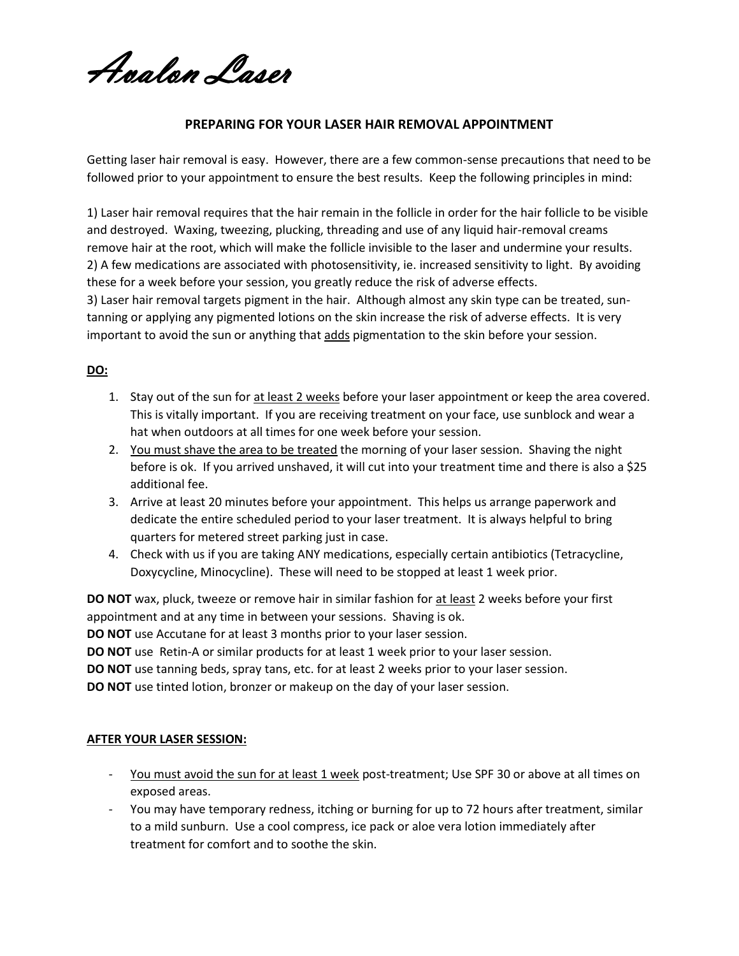Avalon Laser

## **PREPARING FOR YOUR LASER HAIR REMOVAL APPOINTMENT**

Getting laser hair removal is easy. However, there are a few common-sense precautions that need to be followed prior to your appointment to ensure the best results. Keep the following principles in mind:

1) Laser hair removal requires that the hair remain in the follicle in order for the hair follicle to be visible and destroyed. Waxing, tweezing, plucking, threading and use of any liquid hair-removal creams remove hair at the root, which will make the follicle invisible to the laser and undermine your results. 2) A few medications are associated with photosensitivity, ie. increased sensitivity to light. By avoiding these for a week before your session, you greatly reduce the risk of adverse effects.

3) Laser hair removal targets pigment in the hair. Although almost any skin type can be treated, suntanning or applying any pigmented lotions on the skin increase the risk of adverse effects. It is very important to avoid the sun or anything that adds pigmentation to the skin before your session.

## **DO:**

- 1. Stay out of the sun for at least 2 weeks before your laser appointment or keep the area covered. This is vitally important. If you are receiving treatment on your face, use sunblock and wear a hat when outdoors at all times for one week before your session.
- 2. You must shave the area to be treated the morning of your laser session. Shaving the night before is ok. If you arrived unshaved, it will cut into your treatment time and there is also a \$25 additional fee.
- 3. Arrive at least 20 minutes before your appointment. This helps us arrange paperwork and dedicate the entire scheduled period to your laser treatment. It is always helpful to bring quarters for metered street parking just in case.
- 4. Check with us if you are taking ANY medications, especially certain antibiotics (Tetracycline, Doxycycline, Minocycline). These will need to be stopped at least 1 week prior.

**DO NOT** wax, pluck, tweeze or remove hair in similar fashion for at least 2 weeks before your first appointment and at any time in between your sessions. Shaving is ok.

**DO NOT** use Accutane for at least 3 months prior to your laser session.

**DO NOT** use Retin-A or similar products for at least 1 week prior to your laser session.

**DO NOT** use tanning beds, spray tans, etc. for at least 2 weeks prior to your laser session.

**DO NOT** use tinted lotion, bronzer or makeup on the day of your laser session.

## **AFTER YOUR LASER SESSION:**

- You must avoid the sun for at least 1 week post-treatment; Use SPF 30 or above at all times on exposed areas.
- You may have temporary redness, itching or burning for up to 72 hours after treatment, similar to a mild sunburn. Use a cool compress, ice pack or aloe vera lotion immediately after treatment for comfort and to soothe the skin.